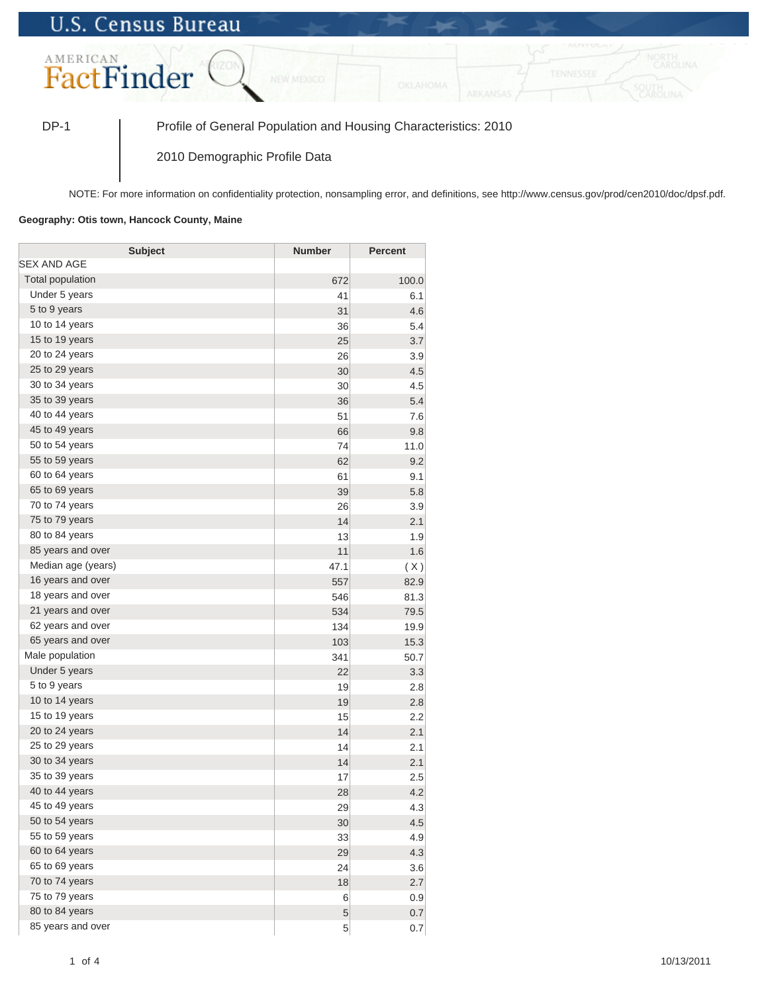## **U.S. Census Bureau**



DP-1 Profile of General Population and Housing Characteristics: 2010

2010 Demographic Profile Data

NOTE: For more information on confidentiality protection, nonsampling error, and definitions, see http://www.census.gov/prod/cen2010/doc/dpsf.pdf.

## **Geography: Otis town, Hancock County, Maine**

| <b>Subject</b>     | <b>Number</b> | <b>Percent</b> |
|--------------------|---------------|----------------|
| <b>SEX AND AGE</b> |               |                |
| Total population   | 672           | 100.0          |
| Under 5 years      | 41            | 6.1            |
| 5 to 9 years       | 31            | 4.6            |
| 10 to 14 years     | 36            | 5.4            |
| 15 to 19 years     | 25            | 3.7            |
| 20 to 24 years     | 26            | 3.9            |
| 25 to 29 years     | 30            | 4.5            |
| 30 to 34 years     | 30            | 4.5            |
| 35 to 39 years     | 36            | 5.4            |
| 40 to 44 years     | 51            | 7.6            |
| 45 to 49 years     | 66            | 9.8            |
| 50 to 54 years     | 74            | 11.0           |
| 55 to 59 years     | 62            | 9.2            |
| 60 to 64 years     | 61            | 9.1            |
| 65 to 69 years     | 39            | 5.8            |
| 70 to 74 years     | 26            | 3.9            |
| 75 to 79 years     | 14            | 2.1            |
| 80 to 84 years     | 13            | 1.9            |
| 85 years and over  | 11            | 1.6            |
| Median age (years) | 47.1          | (X)            |
| 16 years and over  | 557           | 82.9           |
| 18 years and over  | 546           | 81.3           |
| 21 years and over  | 534           | 79.5           |
| 62 years and over  | 134           | 19.9           |
| 65 years and over  | 103           | 15.3           |
| Male population    | 341           | 50.7           |
| Under 5 years      | 22            | 3.3            |
| 5 to 9 years       | 19            | 2.8            |
| 10 to 14 years     | 19            | 2.8            |
| 15 to 19 years     | 15            | 2.2            |
| 20 to 24 years     | 14            | 2.1            |
| 25 to 29 years     | 14            | 2.1            |
| 30 to 34 years     | 14            | 2.1            |
| 35 to 39 years     | 17            | 2.5            |
| 40 to 44 years     | 28            | 4.2            |
| 45 to 49 years     | 29            | 4.3            |
| 50 to 54 years     | 30            | 4.5            |
| 55 to 59 years     | 33            | 4.9            |
| 60 to 64 years     | 29            | 4.3            |
| 65 to 69 years     | 24            | 3.6            |
| 70 to 74 years     | 18            | 2.7            |
| 75 to 79 years     | 6             | 0.9            |
| 80 to 84 years     | 5             | 0.7            |
| 85 years and over  | 5             | 0.7            |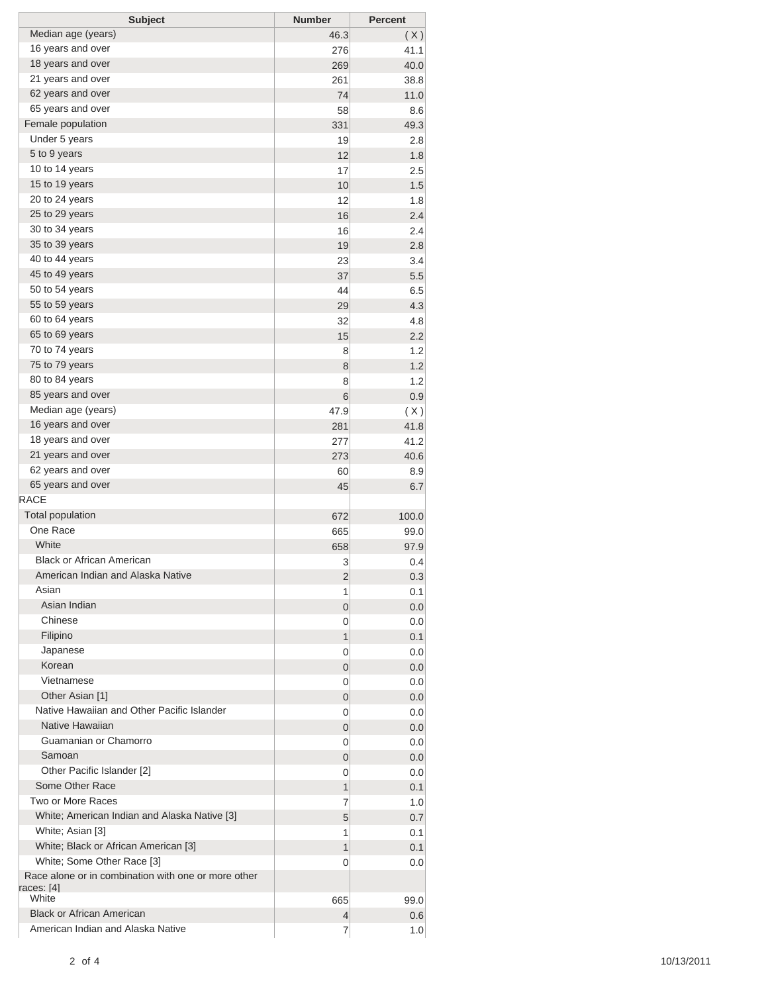| <b>Subject</b>                                                    | <b>Number</b>  | <b>Percent</b> |
|-------------------------------------------------------------------|----------------|----------------|
| Median age (years)                                                | 46.3           | (X)            |
| 16 years and over                                                 | 276            | 41.1           |
| 18 years and over                                                 | 269            | 40.0           |
| 21 years and over                                                 | 261            | 38.8           |
| 62 years and over                                                 | 74             | 11.0           |
| 65 years and over                                                 | 58             | 8.6            |
| Female population                                                 | 331            | 49.3           |
| Under 5 years                                                     | 19             | 2.8            |
| 5 to 9 years                                                      | 12             | 1.8            |
| 10 to 14 years                                                    | 17             | 2.5            |
| 15 to 19 years                                                    | 10             | 1.5            |
| 20 to 24 years                                                    | 12             | 1.8            |
| 25 to 29 years                                                    | 16             | 2.4            |
| 30 to 34 years                                                    | 16             | 2.4            |
| 35 to 39 years                                                    | 19             | 2.8            |
| 40 to 44 years                                                    | 23             | 3.4            |
| 45 to 49 years                                                    | 37             | 5.5            |
| 50 to 54 years                                                    | 44             | 6.5            |
| 55 to 59 years                                                    | 29             | 4.3            |
| 60 to 64 years                                                    | 32             | 4.8            |
| 65 to 69 years                                                    | 15             | 2.2            |
| 70 to 74 years                                                    | 8              | 1.2            |
| 75 to 79 years                                                    | 8              | 1.2            |
| 80 to 84 years                                                    | 8              | 1.2            |
| 85 years and over                                                 | 6              | 0.9            |
| Median age (years)                                                | 47.9           | (X)            |
| 16 years and over                                                 | 281            | 41.8           |
| 18 years and over                                                 | 277            | 41.2           |
| 21 years and over                                                 | 273            | 40.6           |
| 62 years and over                                                 | 60             | 8.9            |
| 65 years and over                                                 | 45             | 6.7            |
| <b>RACE</b>                                                       |                |                |
| <b>Total population</b>                                           | 672            | 100.0          |
| One Race                                                          | 665            | 99.0           |
| White                                                             | 658            | 97.9           |
| <b>Black or African American</b>                                  | 3              | 0.4            |
| American Indian and Alaska Native                                 | 2              | 0.3            |
| Asian                                                             | 1              | 0.1            |
| Asian Indian                                                      | $\overline{0}$ | 0.0            |
| Chinese                                                           | 0              | 0.0            |
| Filipino                                                          | 1              | 0.1            |
| Japanese                                                          | 0              | 0.0            |
| Korean                                                            | 0              | 0.0            |
| Vietnamese                                                        | 0              | 0.0            |
| Other Asian [1]                                                   | 0              | 0.0            |
| Native Hawaiian and Other Pacific Islander                        | 0              | 0.0            |
| Native Hawaiian                                                   | 0              | 0.0            |
| Guamanian or Chamorro                                             | 0              | 0.0            |
| Samoan                                                            | 0              | 0.0            |
| Other Pacific Islander [2]                                        | 0              | 0.0            |
| Some Other Race                                                   | 1              | 0.1            |
| Two or More Races                                                 | 7              | 1.0            |
| White; American Indian and Alaska Native [3]                      | 5              | 0.7            |
| White; Asian [3]                                                  | 1              | 0.1            |
| White; Black or African American [3]                              | 1              | 0.1            |
| White; Some Other Race [3]                                        | 0              | 0.0            |
| Race alone or in combination with one or more other<br>races: [4] |                |                |
| White                                                             | 665            | 99.0           |
| <b>Black or African American</b>                                  | 4              | 0.6            |
| American Indian and Alaska Native                                 | 7              | 1.0            |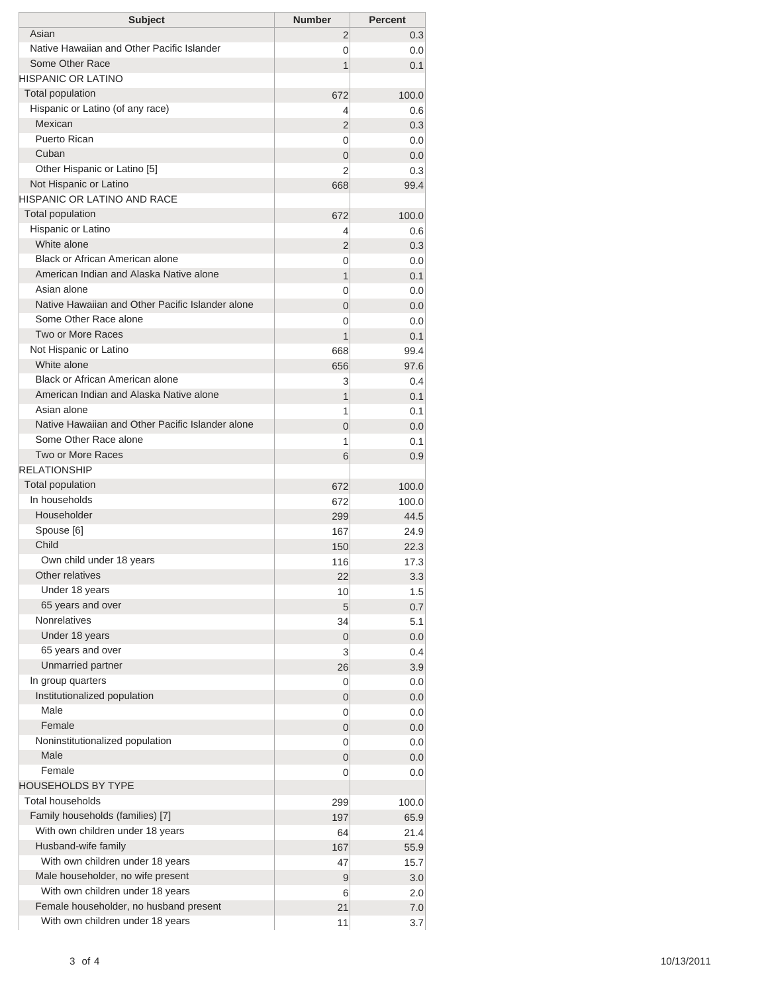| <b>Subject</b>                                   | <b>Number</b>       | <b>Percent</b> |
|--------------------------------------------------|---------------------|----------------|
| Asian                                            | 2                   | 0.3            |
| Native Hawaiian and Other Pacific Islander       | $\Omega$            | 0.0            |
| Some Other Race                                  | 1                   | 0.1            |
| HISPANIC OR LATINO                               |                     |                |
| <b>Total population</b>                          | 672                 | 100.0          |
| Hispanic or Latino (of any race)<br>Mexican      | 4                   | 0.6            |
| Puerto Rican                                     | 2                   | 0.3            |
| Cuban                                            | 0                   | 0.0            |
| Other Hispanic or Latino [5]                     | $\overline{0}$<br>2 | 0.0            |
| Not Hispanic or Latino                           |                     | 0.3<br>99.4    |
| <b>HISPANIC OR LATINO AND RACE</b>               | 668                 |                |
| <b>Total population</b>                          | 672                 | 100.0          |
| Hispanic or Latino                               | 4                   | 0.6            |
| White alone                                      | 2                   | 0.3            |
| Black or African American alone                  | 0                   | 0.0            |
| American Indian and Alaska Native alone          | 1                   | 0.1            |
| Asian alone                                      | 0                   | 0.0            |
| Native Hawaiian and Other Pacific Islander alone | $\overline{0}$      | 0.0            |
| Some Other Race alone                            | 0                   | 0.0            |
| Two or More Races                                | 1                   | 0.1            |
| Not Hispanic or Latino                           | 668                 | 99.4           |
| White alone                                      | 656                 | 97.6           |
| Black or African American alone                  | 3                   | 0.4            |
| American Indian and Alaska Native alone          | 1                   | 0.1            |
| Asian alone                                      | 1                   | 0.1            |
| Native Hawaiian and Other Pacific Islander alone | 0                   | 0.0            |
| Some Other Race alone                            | 1                   | 0.1            |
| Two or More Races                                | 6                   | 0.9            |
| <b>RELATIONSHIP</b>                              |                     |                |
| Total population                                 | 672                 | 100.0          |
| In households                                    | 672                 | 100.0          |
| Householder                                      | 299                 | 44.5           |
| Spouse [6]                                       | 167                 | 24.9           |
| Child                                            | 150                 | 22.3           |
| Own child under 18 years                         | 116                 | 17.3           |
| Other relatives                                  | 22                  | 3.3            |
| Under 18 years                                   | 10                  | 1.5            |
| 65 years and over                                | 5                   | 0.7            |
| <b>Nonrelatives</b>                              | 34                  | 5.1            |
| Under 18 years                                   | 0                   | 0.0            |
| 65 years and over<br>Unmarried partner           | 3                   | 0.4            |
| In group quarters                                | 26                  | 3.9            |
| Institutionalized population                     | 0                   | 0.0            |
| Male                                             | $\mathbf 0$         | 0.0            |
| Female                                           | 0                   | 0.0            |
| Noninstitutionalized population                  | 0                   | 0.0            |
| Male                                             | 0<br>0              | 0.0<br>0.0     |
| Female                                           | 0                   | 0.0            |
| <b>HOUSEHOLDS BY TYPE</b>                        |                     |                |
| <b>Total households</b>                          | 299                 | 100.0          |
| Family households (families) [7]                 | 197                 | 65.9           |
| With own children under 18 years                 | 64                  | 21.4           |
| Husband-wife family                              | 167                 | 55.9           |
| With own children under 18 years                 | 47                  | 15.7           |
| Male householder, no wife present                | $\overline{9}$      | 3.0            |
| With own children under 18 years                 | 6                   | 2.0            |
| Female householder, no husband present           | 21                  | 7.0            |
| With own children under 18 years                 | 11                  | 3.7            |